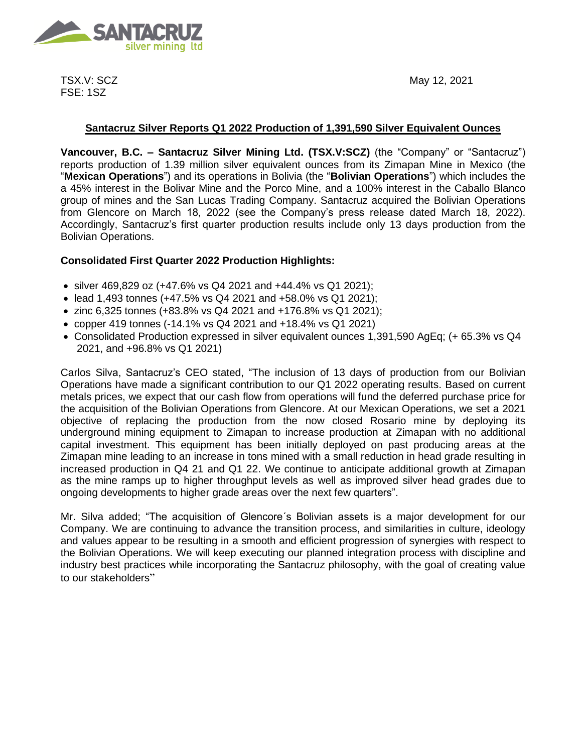

TSX.V: SCZ FSE: 1SZ

# **Santacruz Silver Reports Q1 2022 Production of 1,391,590 Silver Equivalent Ounces**

**Vancouver, B.C. – Santacruz Silver Mining Ltd. (TSX.V:SCZ)** (the "Company" or "Santacruz") reports production of 1.39 million silver equivalent ounces from its Zimapan Mine in Mexico (the "**Mexican Operations**") and its operations in Bolivia (the "**Bolivian Operations**") which includes the a 45% interest in the Bolivar Mine and the Porco Mine, and a 100% interest in the Caballo Blanco group of mines and the San Lucas Trading Company. Santacruz acquired the Bolivian Operations from Glencore on March 18, 2022 (see the Company's press release dated March 18, 2022). Accordingly, Santacruz's first quarter production results include only 13 days production from the Bolivian Operations.

# **Consolidated First Quarter 2022 Production Highlights:**

- silver 469,829 oz (+47.6% vs Q4 2021 and +44.4% vs Q1 2021);
- lead 1,493 tonnes (+47.5% vs Q4 2021 and +58.0% vs Q1 2021);
- zinc 6,325 tonnes (+83.8% vs Q4 2021 and +176.8% vs Q1 2021);
- copper 419 tonnes (-14.1% vs Q4 2021 and +18.4% vs Q1 2021)
- Consolidated Production expressed in silver equivalent ounces 1,391,590 AgEq; (+ 65.3% vs Q4 2021, and +96.8% vs Q1 2021)

Carlos Silva, Santacruz's CEO stated, "The inclusion of 13 days of production from our Bolivian Operations have made a significant contribution to our Q1 2022 operating results. Based on current metals prices, we expect that our cash flow from operations will fund the deferred purchase price for the acquisition of the Bolivian Operations from Glencore. At our Mexican Operations, we set a 2021 objective of replacing the production from the now closed Rosario mine by deploying its underground mining equipment to Zimapan to increase production at Zimapan with no additional capital investment. This equipment has been initially deployed on past producing areas at the Zimapan mine leading to an increase in tons mined with a small reduction in head grade resulting in increased production in Q4 21 and Q1 22. We continue to anticipate additional growth at Zimapan as the mine ramps up to higher throughput levels as well as improved silver head grades due to ongoing developments to higher grade areas over the next few quarters".

Mr. Silva added; "The acquisition of Glencore´s Bolivian assets is a major development for our Company. We are continuing to advance the transition process, and similarities in culture, ideology and values appear to be resulting in a smooth and efficient progression of synergies with respect to the Bolivian Operations. We will keep executing our planned integration process with discipline and industry best practices while incorporating the Santacruz philosophy, with the goal of creating value to our stakeholders"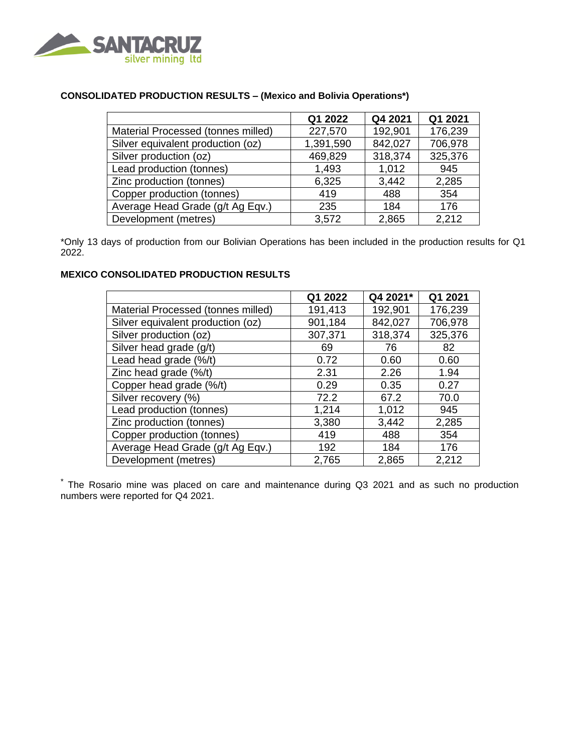

# **CONSOLIDATED PRODUCTION RESULTS – (Mexico and Bolivia Operations\*)**

|                                    | Q1 2022   | Q4 2021 | Q1 2021 |
|------------------------------------|-----------|---------|---------|
| Material Processed (tonnes milled) | 227,570   | 192,901 | 176,239 |
| Silver equivalent production (oz)  | 1,391,590 | 842,027 | 706,978 |
| Silver production (oz)             | 469,829   | 318,374 | 325,376 |
| Lead production (tonnes)           | 1,493     | 1,012   | 945     |
| Zinc production (tonnes)           | 6,325     | 3,442   | 2,285   |
| Copper production (tonnes)         | 419       | 488     | 354     |
| Average Head Grade (g/t Ag Eqv.)   | 235       | 184     | 176     |
| Development (metres)               | 3,572     | 2,865   | 2,212   |

\*Only 13 days of production from our Bolivian Operations has been included in the production results for Q1 2022.

### **MEXICO CONSOLIDATED PRODUCTION RESULTS**

|                                    | Q1 2022 | Q4 2021* | Q1 2021 |
|------------------------------------|---------|----------|---------|
| Material Processed (tonnes milled) | 191,413 | 192,901  | 176,239 |
| Silver equivalent production (oz)  | 901,184 | 842,027  | 706,978 |
| Silver production (oz)             | 307,371 | 318,374  | 325,376 |
| Silver head grade (g/t)            | 69      | 76       | 82      |
| Lead head grade (%/t)              | 0.72    | 0.60     | 0.60    |
| Zinc head grade (%/t)              | 2.31    | 2.26     | 1.94    |
| Copper head grade (%/t)            | 0.29    | 0.35     | 0.27    |
| Silver recovery (%)                | 72.2    | 67.2     | 70.0    |
| Lead production (tonnes)           | 1,214   | 1,012    | 945     |
| Zinc production (tonnes)           | 3,380   | 3,442    | 2,285   |
| Copper production (tonnes)         | 419     | 488      | 354     |
| Average Head Grade (g/t Ag Eqv.)   | 192     | 184      | 176     |
| Development (metres)               | 2,765   | 2,865    | 2,212   |

\* The Rosario mine was placed on care and maintenance during Q3 2021 and as such no production numbers were reported for Q4 2021.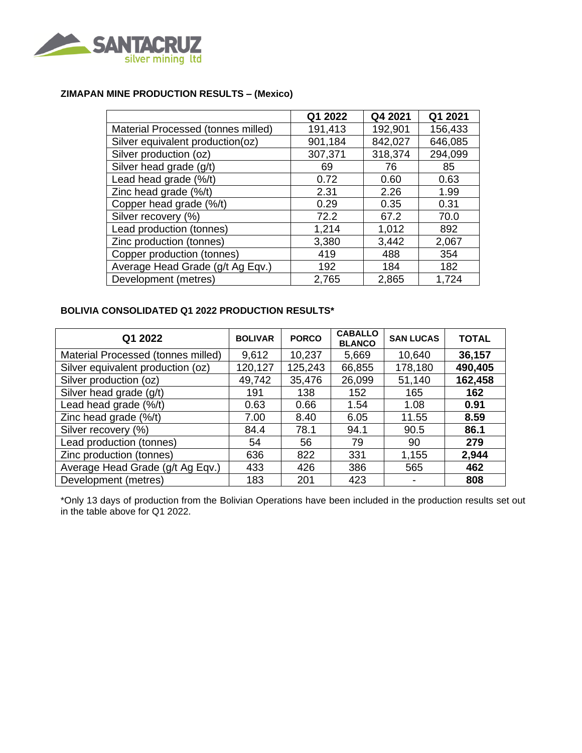

## **ZIMAPAN MINE PRODUCTION RESULTS – (Mexico)**

|                                    | Q1 2022 | Q4 2021 | Q1 2021 |
|------------------------------------|---------|---------|---------|
| Material Processed (tonnes milled) | 191,413 | 192,901 | 156,433 |
| Silver equivalent production(oz)   | 901,184 | 842,027 | 646,085 |
| Silver production (oz)             | 307,371 | 318,374 | 294,099 |
| Silver head grade (g/t)            | 69      | 76      | 85      |
| Lead head grade (%/t)              | 0.72    | 0.60    | 0.63    |
| Zinc head grade (%/t)              | 2.31    | 2.26    | 1.99    |
| Copper head grade (%/t)            | 0.29    | 0.35    | 0.31    |
| Silver recovery (%)                | 72.2    | 67.2    | 70.0    |
| Lead production (tonnes)           | 1,214   | 1,012   | 892     |
| Zinc production (tonnes)           | 3,380   | 3,442   | 2,067   |
| Copper production (tonnes)         | 419     | 488     | 354     |
| Average Head Grade (g/t Ag Eqv.)   | 192     | 184     | 182     |
| Development (metres)               | 2,765   | 2,865   | 1,724   |

## **BOLIVIA CONSOLIDATED Q1 2022 PRODUCTION RESULTS\***

| Q1 2022                            | <b>BOLIVAR</b> | <b>PORCO</b> | <b>CABALLO</b><br><b>BLANCO</b> | <b>SAN LUCAS</b> | <b>TOTAL</b> |
|------------------------------------|----------------|--------------|---------------------------------|------------------|--------------|
| Material Processed (tonnes milled) | 9,612          | 10,237       | 5,669                           | 10,640           | 36,157       |
| Silver equivalent production (oz)  | 120,127        | 125,243      | 66,855                          | 178,180          | 490,405      |
| Silver production (oz)             | 49,742         | 35,476       | 26,099                          | 51,140           | 162,458      |
| Silver head grade (g/t)            | 191            | 138          | 152                             | 165              | 162          |
| Lead head grade (%/t)              | 0.63           | 0.66         | 1.54                            | 1.08             | 0.91         |
| Zinc head grade (%/t)              | 7.00           | 8.40         | 6.05                            | 11.55            | 8.59         |
| Silver recovery (%)                | 84.4           | 78.1         | 94.1                            | 90.5             | 86.1         |
| Lead production (tonnes)           | 54             | 56           | 79                              | 90               | 279          |
| Zinc production (tonnes)           | 636            | 822          | 331                             | 1,155            | 2,944        |
| Average Head Grade (g/t Ag Eqv.)   | 433            | 426          | 386                             | 565              | 462          |
| Development (metres)               | 183            | 201          | 423                             |                  | 808          |

\*Only 13 days of production from the Bolivian Operations have been included in the production results set out in the table above for Q1 2022.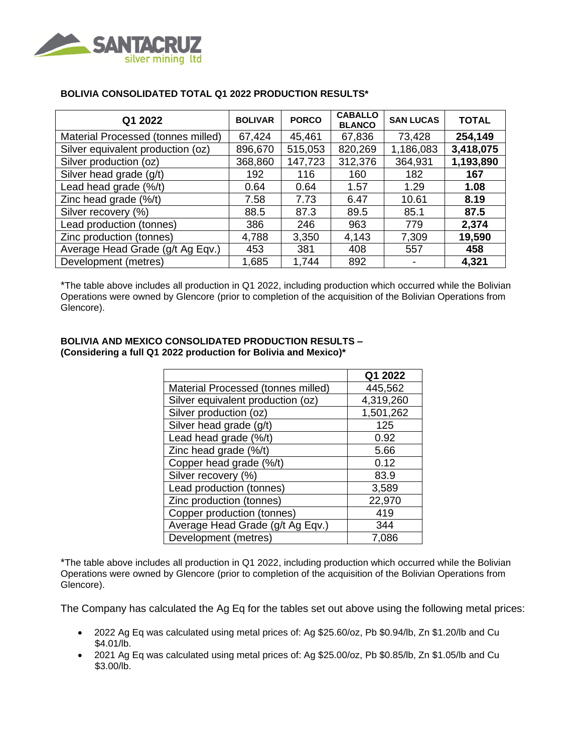

| Q1 2022                            | <b>BOLIVAR</b> | <b>PORCO</b> | <b>CABALLO</b><br><b>BLANCO</b> | <b>SAN LUCAS</b> | <b>TOTAL</b> |
|------------------------------------|----------------|--------------|---------------------------------|------------------|--------------|
| Material Processed (tonnes milled) | 67,424         | 45,461       | 67,836                          | 73,428           | 254,149      |
| Silver equivalent production (oz)  | 896,670        | 515,053      | 820,269                         | 1,186,083        | 3,418,075    |
| Silver production (oz)             | 368,860        | 147,723      | 312,376                         | 364,931          | 1,193,890    |
| Silver head grade (g/t)            | 192            | 116          | 160                             | 182              | 167          |
| Lead head grade (%/t)              | 0.64           | 0.64         | 1.57                            | 1.29             | 1.08         |
| Zinc head grade $(\frac{6}{t})$    | 7.58           | 7.73         | 6.47                            | 10.61            | 8.19         |
| Silver recovery (%)                | 88.5           | 87.3         | 89.5                            | 85.1             | 87.5         |
| Lead production (tonnes)           | 386            | 246          | 963                             | 779              | 2,374        |
| Zinc production (tonnes)           | 4,788          | 3,350        | 4,143                           | 7,309            | 19,590       |
| Average Head Grade (g/t Ag Eqv.)   | 453            | 381          | 408                             | 557              | 458          |
| Development (metres)               | 1,685          | 1,744        | 892                             |                  | 4,321        |

## **BOLIVIA CONSOLIDATED TOTAL Q1 2022 PRODUCTION RESULTS\***

\*The table above includes all production in Q1 2022, including production which occurred while the Bolivian Operations were owned by Glencore (prior to completion of the acquisition of the Bolivian Operations from Glencore).

#### **BOLIVIA AND MEXICO CONSOLIDATED PRODUCTION RESULTS – (Considering a full Q1 2022 production for Bolivia and Mexico)\***

|                                    | Q1 2022   |
|------------------------------------|-----------|
| Material Processed (tonnes milled) | 445,562   |
| Silver equivalent production (oz)  | 4,319,260 |
| Silver production (oz)             | 1,501,262 |
| Silver head grade (g/t)            | 125       |
| Lead head grade (%/t)              | 0.92      |
| Zinc head grade (%/t)              | 5.66      |
| Copper head grade (%/t)            | 0.12      |
| Silver recovery (%)                | 83.9      |
| Lead production (tonnes)           | 3,589     |
| Zinc production (tonnes)           | 22,970    |
| Copper production (tonnes)         | 419       |
| Average Head Grade (g/t Ag Eqv.)   | 344       |
| Development (metres)               | 7.086     |

\*The table above includes all production in Q1 2022, including production which occurred while the Bolivian Operations were owned by Glencore (prior to completion of the acquisition of the Bolivian Operations from Glencore).

The Company has calculated the Ag Eq for the tables set out above using the following metal prices:

- 2022 Ag Eq was calculated using metal prices of: Ag \$25.60/oz, Pb \$0.94/lb, Zn \$1.20/lb and Cu \$4.01/lb.
- 2021 Ag Eq was calculated using metal prices of: Ag \$25.00/oz, Pb \$0.85/lb, Zn \$1.05/lb and Cu \$3.00/lb.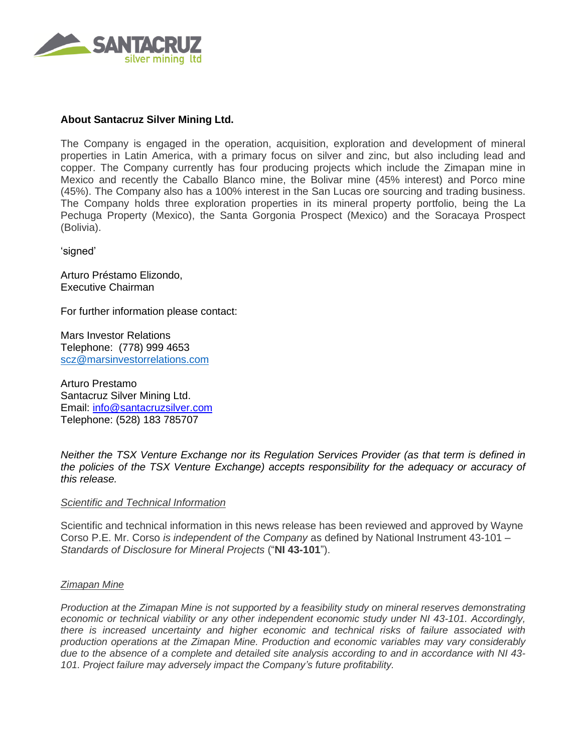

# **About Santacruz Silver Mining Ltd.**

The Company is engaged in the operation, acquisition, exploration and development of mineral properties in Latin America, with a primary focus on silver and zinc, but also including lead and copper. The Company currently has four producing projects which include the Zimapan mine in Mexico and recently the Caballo Blanco mine, the Bolivar mine (45% interest) and Porco mine (45%). The Company also has a 100% interest in the San Lucas ore sourcing and trading business. The Company holds three exploration properties in its mineral property portfolio, being the La Pechuga Property (Mexico), the Santa Gorgonia Prospect (Mexico) and the Soracaya Prospect (Bolivia).

'signed'

Arturo Préstamo Elizondo, Executive Chairman

For further information please contact:

Mars Investor Relations Telephone: (778) 999 4653 [scz@marsinvestorrelations.com](mailto:scz@marsinvestorrelations.com)

Arturo Prestamo Santacruz Silver Mining Ltd. Email: [info@santacruzsilver.com](mailto:infonmacrae@santacruzsilver.com) Telephone: (528) 183 785707

*Neither the TSX Venture Exchange nor its Regulation Services Provider (as that term is defined in the policies of the TSX Venture Exchange) accepts responsibility for the adequacy or accuracy of this release.* 

#### *Scientific and Technical Information*

Scientific and technical information in this news release has been reviewed and approved by Wayne Corso P.E. Mr. Corso *is independent of the Company* as defined by National Instrument 43-101 – *Standards of Disclosure for Mineral Projects* ("**NI 43-101**").

#### *Zimapan Mine*

*Production at the Zimapan Mine is not supported by a feasibility study on mineral reserves demonstrating economic or technical viability or any other independent economic study under NI 43-101. Accordingly, there is increased uncertainty and higher economic and technical risks of failure associated with production operations at the Zimapan Mine. Production and economic variables may vary considerably due to the absence of a complete and detailed site analysis according to and in accordance with NI 43- 101. Project failure may adversely impact the Company's future profitability.*